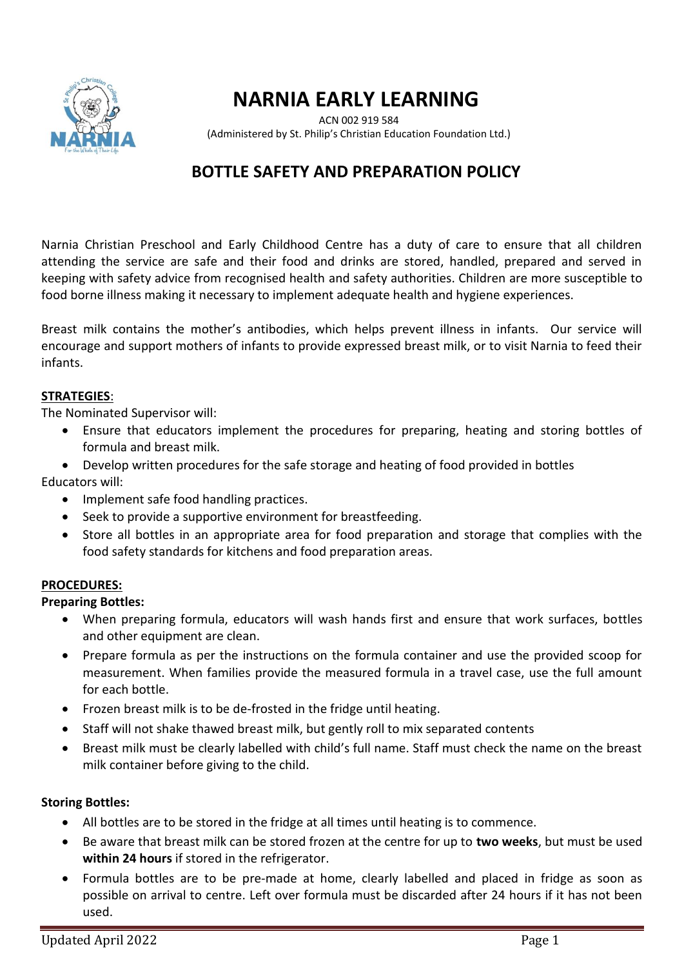

# **NARNIA EARLY LEARNING**

 ACN 002 919 584 (Administered by St. Philip's Christian Education Foundation Ltd.)

## **BOTTLE SAFETY AND PREPARATION POLICY**

Narnia Christian Preschool and Early Childhood Centre has a duty of care to ensure that all children attending the service are safe and their food and drinks are stored, handled, prepared and served in keeping with safety advice from recognised health and safety authorities. Children are more susceptible to food borne illness making it necessary to implement adequate health and hygiene experiences.

Breast milk contains the mother's antibodies, which helps prevent illness in infants. Our service will encourage and support mothers of infants to provide expressed breast milk, or to visit Narnia to feed their infants.

#### **STRATEGIES**:

The Nominated Supervisor will:

- Ensure that educators implement the procedures for preparing, heating and storing bottles of formula and breast milk.
- Develop written procedures for the safe storage and heating of food provided in bottles

Educators will:

- Implement safe food handling practices.
- Seek to provide a supportive environment for breastfeeding.
- Store all bottles in an appropriate area for food preparation and storage that complies with the food safety standards for kitchens and food preparation areas.

#### **PROCEDURES:**

**Preparing Bottles:**

- When preparing formula, educators will wash hands first and ensure that work surfaces, bottles and other equipment are clean.
- Prepare formula as per the instructions on the formula container and use the provided scoop for measurement. When families provide the measured formula in a travel case, use the full amount for each bottle.
- Frozen breast milk is to be de-frosted in the fridge until heating.
- Staff will not shake thawed breast milk, but gently roll to mix separated contents
- Breast milk must be clearly labelled with child's full name. Staff must check the name on the breast milk container before giving to the child.

#### **Storing Bottles:**

- All bottles are to be stored in the fridge at all times until heating is to commence.
- Be aware that breast milk can be stored frozen at the centre for up to **two weeks**, but must be used **within 24 hours** if stored in the refrigerator.
- Formula bottles are to be pre-made at home, clearly labelled and placed in fridge as soon as possible on arrival to centre. Left over formula must be discarded after 24 hours if it has not been used.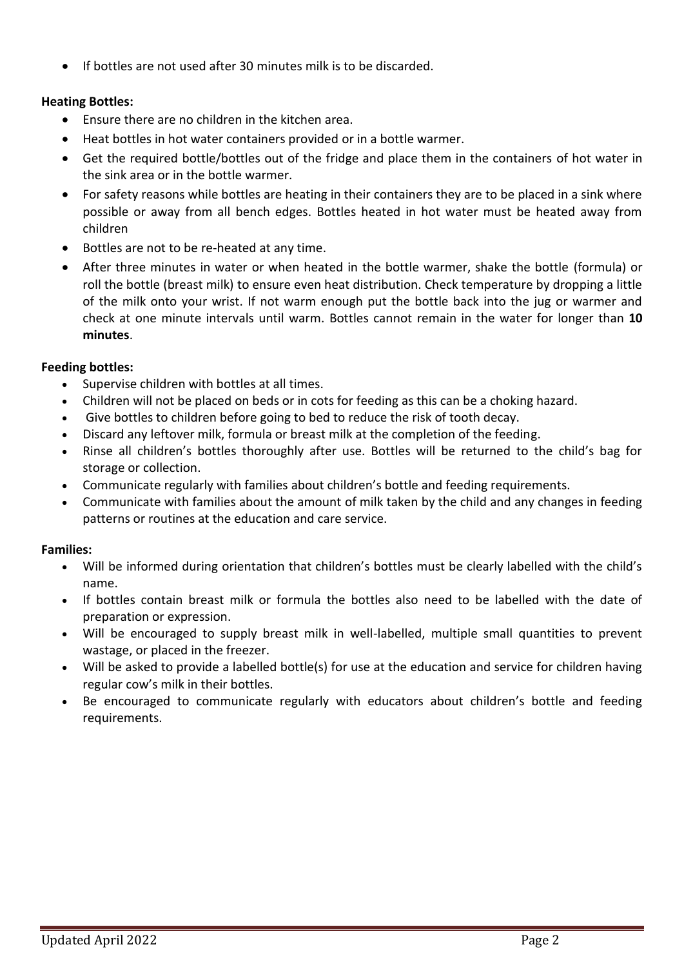• If bottles are not used after 30 minutes milk is to be discarded.

#### **Heating Bottles:**

- Ensure there are no children in the kitchen area.
- Heat bottles in hot water containers provided or in a bottle warmer.
- Get the required bottle/bottles out of the fridge and place them in the containers of hot water in the sink area or in the bottle warmer.
- For safety reasons while bottles are heating in their containers they are to be placed in a sink where possible or away from all bench edges. Bottles heated in hot water must be heated away from children
- Bottles are not to be re-heated at any time.
- After three minutes in water or when heated in the bottle warmer, shake the bottle (formula) or roll the bottle (breast milk) to ensure even heat distribution. Check temperature by dropping a little of the milk onto your wrist. If not warm enough put the bottle back into the jug or warmer and check at one minute intervals until warm. Bottles cannot remain in the water for longer than **10 minutes**.

#### **Feeding bottles:**

- Supervise children with bottles at all times.
- Children will not be placed on beds or in cots for feeding as this can be a choking hazard.
- Give bottles to children before going to bed to reduce the risk of tooth decay.
- Discard any leftover milk, formula or breast milk at the completion of the feeding.
- Rinse all children's bottles thoroughly after use. Bottles will be returned to the child's bag for storage or collection.
- Communicate regularly with families about children's bottle and feeding requirements.
- Communicate with families about the amount of milk taken by the child and any changes in feeding patterns or routines at the education and care service.

### **Families:**

- Will be informed during orientation that children's bottles must be clearly labelled with the child's name.
- If bottles contain breast milk or formula the bottles also need to be labelled with the date of preparation or expression.
- Will be encouraged to supply breast milk in well-labelled, multiple small quantities to prevent wastage, or placed in the freezer.
- Will be asked to provide a labelled bottle(s) for use at the education and service for children having regular cow's milk in their bottles.
- Be encouraged to communicate regularly with educators about children's bottle and feeding requirements.